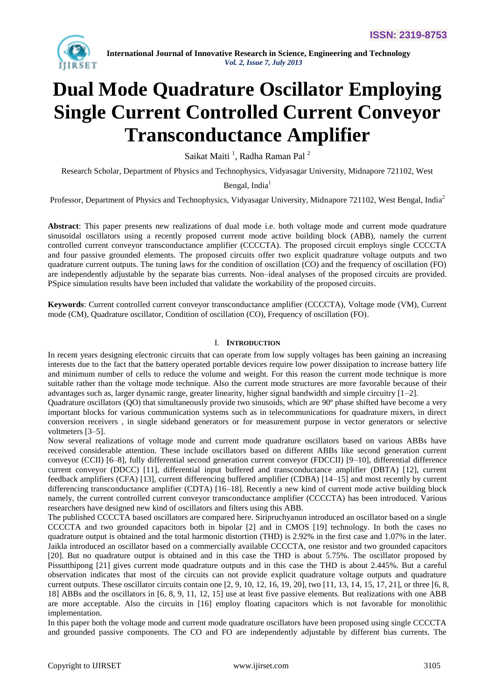

# **Dual Mode Quadrature Oscillator Employing Single Current Controlled Current Conveyor Transconductance Amplifier**

Saikat Maiti<sup>1</sup>, Radha Raman Pal<sup>2</sup>

Research Scholar, Department of Physics and Technophysics, Vidyasagar University, Midnapore 721102, West

Bengal, India<sup>1</sup>

Professor, Department of Physics and Technophysics, Vidyasagar University, Midnapore 721102, West Bengal, India<sup>2</sup>

**Abstract**: This paper presents new realizations of dual mode i.e. both voltage mode and current mode quadrature sinusoidal oscillators using a recently proposed current mode active building block (ABB), namely the current controlled current conveyor transconductance amplifier (CCCCTA). The proposed circuit employs single CCCCTA and four passive grounded elements. The proposed circuits offer two explicit quadrature voltage outputs and two quadrature current outputs. The tuning laws for the condition of oscillation (CO) and the frequency of oscillation (FO) are independently adjustable by the separate bias currents. Non–ideal analyses of the proposed circuits are provided. PSpice simulation results have been included that validate the workability of the proposed circuits.

**Keywords**: Current controlled current conveyor transconductance amplifier (CCCCTA), Voltage mode (VM), Current mode (CM), Quadrature oscillator, Condition of oscillation (CO), Frequency of oscillation (FO).

# I. **INTRODUCTION**

In recent years designing electronic circuits that can operate from low supply voltages has been gaining an increasing interests due to the fact that the battery operated portable devices require low power dissipation to increase battery life and minimum number of cells to reduce the volume and weight. For this reason the current mode technique is more suitable rather than the voltage mode technique. Also the current mode structures are more favorable because of their advantages such as, larger dynamic range, greater linearity, higher signal bandwidth and simple circuitry [1–2].

Quadrature oscillators (QO) that simultaneously provide two sinusoids, which are 90º phase shifted have become a very important blocks for various communication systems such as in telecommunications for quadrature mixers, in direct conversion receivers , in single sideband generators or for measurement purpose in vector generators or selective voltmeters [3–5].

Now several realizations of voltage mode and current mode quadrature oscillators based on various ABBs have received considerable attention. These include oscillators based on different ABBs like second generation current conveyor (CCII) [6–8], fully differential second generation current conveyor (FDCCII) [9–10], differential difference current conveyor (DDCC) [11], differential input buffered and transconductance amplifier (DBTA) [12], current feedback amplifiers (CFA) [13], current differencing buffered amplifier (CDBA) [14–15] and most recently by current differencing transconductance amplifier (CDTA) [16–18]. Recently a new kind of current mode active building block namely, the current controlled current conveyor transconductance amplifier (CCCCTA) has been introduced. Various researchers have designed new kind of oscillators and filters using this ABB.

The published CCCCTA based oscillators are compared here. Siripruchyanun introduced an oscillator based on a single CCCCTA and two grounded capacitors both in bipolar [2] and in CMOS [19] technology. In both the cases no quadrature output is obtained and the total harmonic distortion (THD) is 2.92% in the first case and 1.07% in the later. Jaikla introduced an oscillator based on a commercially available CCCCTA, one resistor and two grounded capacitors [20]. But no quadrature output is obtained and in this case the THD is about 5.75%. The oscillator proposed by Pissutthipong [21] gives current mode quadrature outputs and in this case the THD is about 2.445%. But a careful observation indicates that most of the circuits can not provide explicit quadrature voltage outputs and quadrature current outputs. These oscillator circuits contain one  $[2, 9, 10, 12, 16, 19, 20]$ , two  $[11, 13, 14, 15, 17, 21]$ , or three  $[6, 8, 10]$ 18] ABBs and the oscillators in [6, 8, 9, 11, 12, 15] use at least five passive elements. But realizations with one ABB are more acceptable. Also the circuits in [16] employ floating capacitors which is not favorable for monolithic implementation.

In this paper both the voltage mode and current mode quadrature oscillators have been proposed using single CCCCTA and grounded passive components. The CO and FO are independently adjustable by different bias currents. The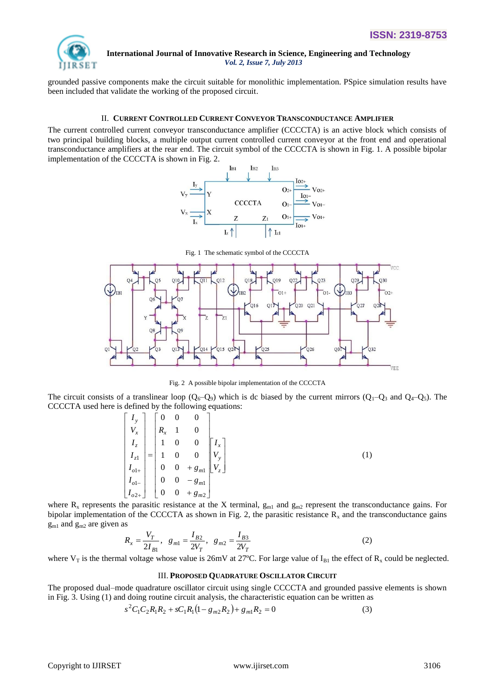

grounded passive components make the circuit suitable for monolithic implementation. PSpice simulation results have been included that validate the working of the proposed circuit.

# II. **CURRENT CONTROLLED CURRENT CONVEYOR TRANSCONDUCTANCE AMPLIFIER**

The current controlled current conveyor transconductance amplifier (CCCCTA) is an active block which consists of two principal building blocks, a multiple output current controlled current conveyor at the front end and operational transconductance amplifiers at the rear end. The circuit symbol of the CCCCTA is shown in Fig. 1. A possible bipolar implementation of the CCCCTA is shown in Fig. 2.



012  $(\downarrow$ TR<sub>2</sub>  $\overline{01}$ IR<sub>3</sub> 020 021  $016$  $\Omega$ <sup>1</sup>  $^{0.27}$  $71$  $\overline{z}$  $O15$  $Q26$  $032$  $\Omega$ VEE

Fig. 1 The schematic symbol of the CCCCTA

Fig. 2 A possible bipolar implementation of the CCCCTA

The circuit consists of a translinear loop  $(Q_6-Q_9)$  which is dc biased by the current mirrors  $(Q_1-Q_3$  and  $Q_4-Q_5)$ . The CCCCTA used here is defined by the following equations:

$$
\begin{bmatrix} I_y \\ V_x \\ I_z \\ I_{z1} \\ I_{o1+} \\ I_{o1-} \\ I_{o2+} \end{bmatrix} = \begin{bmatrix} 0 & 0 & 0 \\ R_x & 1 & 0 \\ 1 & 0 & 0 \\ 1 & 0 & 0 \\ 0 & 0 & +g_{m1} \\ 0 & 0 & -g_{m1} \\ 0 & 0 & +g_{m2} \end{bmatrix} \begin{bmatrix} I_x \\ V_y \\ V_z \end{bmatrix}
$$
 (1)

where  $R_x$  represents the parasitic resistance at the X terminal,  $g_{m1}$  and  $g_{m2}$  represent the transconductance gains. For bipolar implementation of the CCCCTA as shown in Fig. 2, the parasitic resistance  $R_x$  and the transconductance gains  $g_{m1}$  and  $g_{m2}$  are given as

$$
R_x = \frac{V_T}{2I_{B1}}, \quad g_{m1} = \frac{I_{B2}}{2V_T}, \quad g_{m2} = \frac{I_{B3}}{2V_T}
$$
 (2)

where  $V_T$  is the thermal voltage whose value is 26mV at 27°C. For large value of  $I_{B1}$  the effect of  $R_x$  could be neglected.

# III. **PROPOSED QUADRATURE OSCILLATOR CIRCUIT**

The proposed dual–mode quadrature oscillator circuit using single CCCCTA and grounded passive elements is shown in Fig. 3. Using (1) and doing routine circuit analysis, the characteristic equation can be written as

$$
s^{2}C_{1}C_{2}R_{1}R_{2} + sC_{1}R_{1}(1 - g_{m2}R_{2}) + g_{m1}R_{2} = 0
$$
\n(3)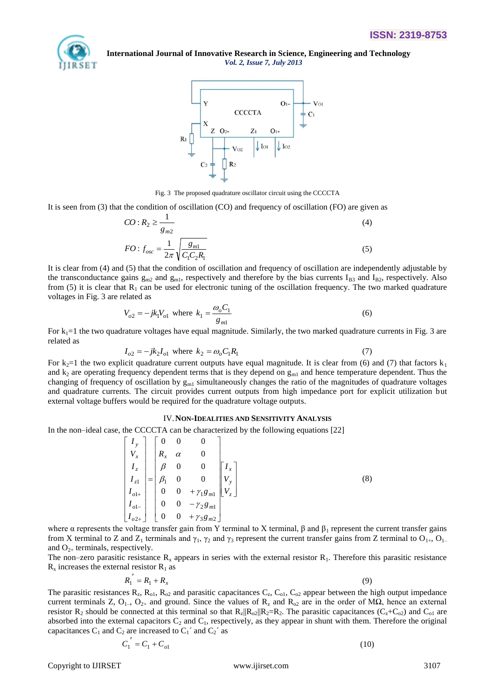



Fig. 3 The proposed quadrature oscillator circuit using the CCCCTA

It is seen from (3) that the condition of oscillation (CO) and frequency of oscillation (FO) are given as

$$
CO: R_2 \ge \frac{1}{g_{m2}}
$$
  
\n
$$
FO: f_{osc} = \frac{1}{2\pi} \sqrt{\frac{g_{m1}}{C_1 C_2 R_1}}
$$
\n(4)

It is clear from (4) and (5) that the condition of oscillation and frequency of oscillation are independently adjustable by the transconductance gains  $g_{m2}$  and  $g_{m1}$ , respectively and therefore by the bias currents  $I_{B3}$  and  $I_{B2}$ , respectively. Also from (5) it is clear that  $R_1$  can be used for electronic tuning of the oscillation frequency. The two marked quadrature voltages in Fig. 3 are related as

$$
V_{o2} = -jk_1 V_{o1} \text{ where } k_1 = \frac{\omega_o C_1}{g_{m1}}
$$
 (6)

For  $k_1=1$  the two quadrature voltages have equal magnitude. Similarly, the two marked quadrature currents in Fig. 3 are related as

$$
I_{o2} = -jk_2 I_{o1} \text{ where } k_2 = \omega_o C_1 R_1 \tag{7}
$$

For  $k_2=1$  the two explicit quadrature current outputs have equal magnitude. It is clear from (6) and (7) that factors  $k_1$ and  $k_2$  are operating frequency dependent terms that is they depend on  $g<sub>ml</sub>$  and hence temperature dependent. Thus the changing of frequency of oscillation by  $g<sub>m1</sub>$  simultaneously changes the ratio of the magnitudes of quadrature voltages and quadrature currents. The circuit provides current outputs from high impedance port for explicit utilization but external voltage buffers would be required for the quadrature voltage outputs.

### IV.**NON-IDEALITIES AND SENSITIVITY ANALYSIS**

In the non–ideal case, the CCCCTA can be characterized by the following equations [22]

$$
\begin{bmatrix} I_y \\ V_x \\ I_z \\ I_{z1} \\ I_{o1+} \\ I_{o1-} \\ I_{o2+} \end{bmatrix} = \begin{bmatrix} 0 & 0 & 0 \\ R_x & \alpha & 0 \\ \beta & 0 & 0 \\ \beta_1 & 0 & 0 \\ 0 & 0 & +\gamma_1 g_m \\ 0 & 0 & -\gamma_2 g_m \\ 0 & 0 & +\gamma_3 g_{m2} \end{bmatrix} \begin{bmatrix} I_x \\ V_y \\ V_z \end{bmatrix}
$$
 (8)

where α represents the voltage transfer gain from Y terminal to X terminal,  $β$  and  $β_1$  represent the current transfer gains from X terminal to Z and  $Z_1$  terminals and  $\gamma_1$ ,  $\gamma_2$  and  $\gamma_3$  represent the current transfer gains from Z terminal to  $O_{1+}$ ,  $O_{1-}$ and  $O_{2+}$  terminals, respectively.

The non–zero parasitic resistance  $R_x$  appears in series with the external resistor  $R_1$ . Therefore this parasitic resistance  $R_x$  increases the external resistor  $R_1$  as

$$
R_1' = R_1 + R_x \tag{9}
$$

The parasitic resistances  $R_z$ ,  $R_{o1}$ ,  $R_{o2}$  and parasitic capacitances  $C_z$ ,  $C_{o1}$ ,  $C_{o2}$  appear between the high output impedance current terminals Z, O<sub>1</sub>-, O<sub>2+</sub> and ground. Since the values of R<sub>z</sub> and R<sub>o2</sub> are in the order of MΩ, hence an external resistor  $R_2$  should be connected at this terminal so that  $R_z||R_{02}||R_2=R_2$ . The parasitic capacitances  $(C_z+C_{02})$  and  $C_{01}$  are absorbed into the external capacitors  $C_2$  and  $C_1$ , respectively, as they appear in shunt with them. Therefore the original capacitances  $C_1$  and  $C_2$  are increased to  $C_1$ <sup>2</sup> and  $C_2$ <sup>2</sup> as

$$
C_1' = C_1 + C_{o1} \tag{10}
$$

Copyright to IJIRSET [www.ijirset.com](http://www.ijirset.com/) 3107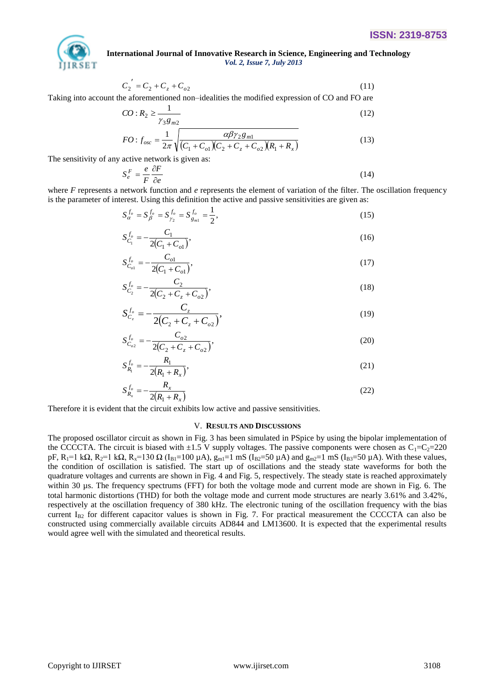

$$
C_2' = C_2 + C_2 + C_{o2} \tag{11}
$$

Taking into account the aforementioned non–idealities the modified expression of CO and FO are

$$
CO: R_2 \ge \frac{1}{\gamma_3 g_{m2}}\tag{12}
$$

$$
FO: f_{osc} = \frac{1}{2\pi} \sqrt{\frac{\alpha \beta \gamma_2 g_{m1}}{(C_1 + C_{o1})(C_2 + C_z + C_{o2})(R_1 + R_x)}}
$$
(13)

The sensitivity of any active network is given as:

$$
S_e^F = \frac{e}{F} \frac{\partial F}{\partial e} \tag{14}
$$

where *F* represents a network function and *e* represents the element of variation of the filter. The oscillation frequency is the parameter of interest. Using this definition the active and passive sensitivities are given as:

$$
S_{\alpha}^{f_o} = S_{\beta}^{f_o} = S_{\gamma_2}^{f_o} = S_{g_{m1}}^{f_o} = \frac{1}{2},
$$
\n(15)

$$
S_{C_1}^{f_o} = -\frac{C_1}{2(C_1 + C_{o1})},\tag{16}
$$

$$
S_{C_{o1}}^{f_o} = -\frac{C_{o1}}{2(C_1 + C_{o1})},\tag{17}
$$

$$
S_{C_2}^{f_o} = -\frac{C_2}{2(C_2 + C_z + C_{o2})},\tag{18}
$$

$$
S_{C_z}^{f_o} = -\frac{C_z}{2(C_2 + C_z + C_{o2})},\tag{19}
$$

$$
S_{C_{o2}}^{f_o} = -\frac{C_{o2}}{2(C_2 + C_z + C_{o2})},\tag{20}
$$

$$
S_{R_1}^{f_o} = -\frac{R_1}{2(R_1 + R_x)},
$$
\n(21)

$$
S_{R_x}^{f_o} = -\frac{R_x}{2(R_1 + R_x)}
$$
(22)

Therefore it is evident that the circuit exhibits low active and passive sensitivities.

# V. **RESULTS AND DISCUSSIONS**

Taking into account the above of  $z_1 - C_1$  *C*<sub>2</sub> *C*<sub>2</sub> *C***<sub>2</sub> <b>C**<sub>2</sub> *C***<sub>2</sub> C**<sub>2</sub> *C***<sub>2</sub> <b>***C*<sub>2</sub> *C*<sub>2</sub> *C***<sub>2</sub> <b>***C*<sub>2</sub> *C*<sub>2</sub> *C C C C*<sub>2</sub> *C<sub>2</sub> <i>C***<sub>2</sub> <b>***C*<sub>2</sub> *C*<sub>2</sub> *C*<sub>2</sub> *C*<sub>2</sub> *C* The proposed oscillator circuit as shown in Fig. 3 has been simulated in PSpice by using the bipolar implementation of the CCCCTA. The circuit is biased with  $\pm 1.5$  V supply voltages. The passive components were chosen as C<sub>1</sub>=C<sub>2</sub>=220 pF, R<sub>1</sub>=1 kΩ, R<sub>2</sub>=1 kΩ, R<sub>x</sub>=130 Ω (I<sub>B1</sub>=100 μA), g<sub>m1</sub>=1 mS (I<sub>B2</sub>=50 μA) and g<sub>m2</sub>=1 mS (I<sub>B3</sub>=50 μA). With these values, the condition of oscillation is satisfied. The start up of oscillations and the steady state waveforms for both the quadrature voltages and currents are shown in Fig. 4 and Fig. 5, respectively. The steady state is reached approximately within 30 us. The frequency spectrums (FFT) for both the voltage mode and current mode are shown in Fig. 6. The total harmonic distortions (THD) for both the voltage mode and current mode structures are nearly 3.61% and 3.42%, respectively at the oscillation frequency of 380 kHz. The electronic tuning of the oscillation frequency with the bias current  $I_{B2}$  for different capacitor values is shown in Fig. 7. For practical measurement the CCCCTA can also be constructed using commercially available circuits AD844 and LM13600. It is expected that the experimental results would agree well with the simulated and theoretical results.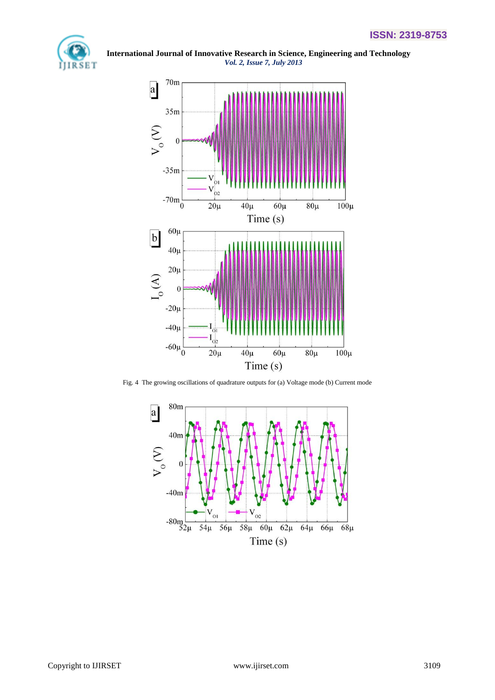



Fig. 4 The growing oscillations of quadrature outputs for (a) Voltage mode (b) Current mode

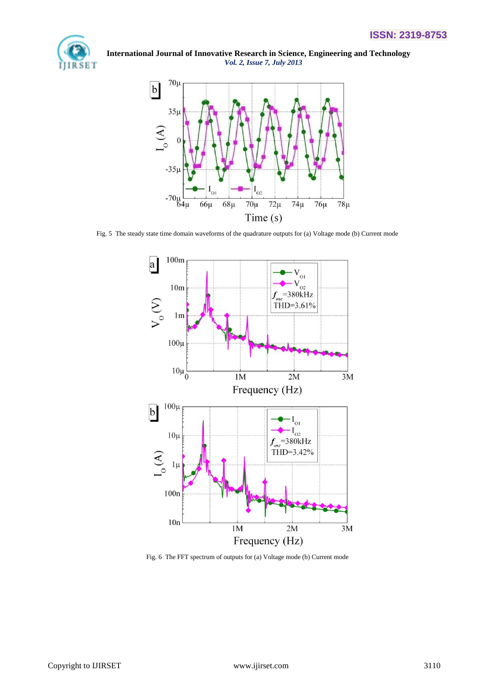



Fig. 5 The steady state time domain waveforms of the quadrature outputs for (a) Voltage mode (b) Current mode



Fig. 6 The FFT spectrum of outputs for (a) Voltage mode (b) Current mode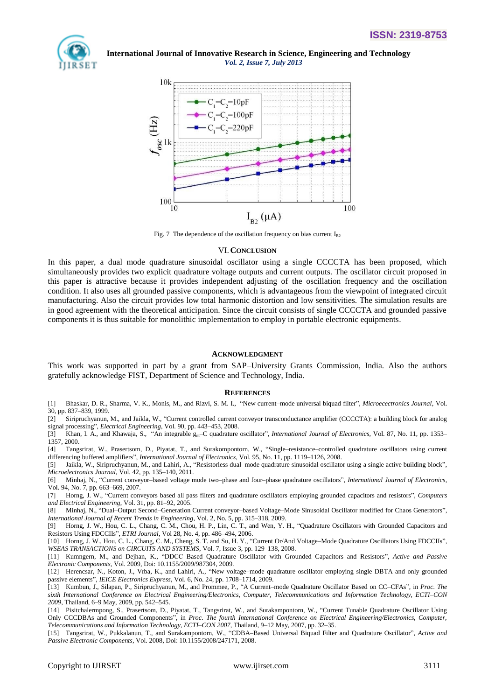



Fig. 7 The dependence of the oscillation frequency on bias current  $I_{B2}$ 

### VI.**CONCLUSION**

In this paper, a dual mode quadrature sinusoidal oscillator using a single CCCCTA has been proposed, which simultaneously provides two explicit quadrature voltage outputs and current outputs. The oscillator circuit proposed in this paper is attractive because it provides independent adjusting of the oscillation frequency and the oscillation condition. It also uses all grounded passive components, which is advantageous from the viewpoint of integrated circuit manufacturing. Also the circuit provides low total harmonic distortion and low sensitivities. The simulation results are in good agreement with the theoretical anticipation. Since the circuit consists of single CCCCTA and grounded passive components it is thus suitable for monolithic implementation to employ in portable electronic equipments.

#### **ACKNOWLEDGMENT**

This work was supported in part by a grant from SAP–University Grants Commission, India. Also the authors gratefully acknowledge FIST, Department of Science and Technology, India.

#### **REFERENCES**

- [1] Bhaskar, D. R., Sharma, V. K., Monis, M., and Rizvi, S. M. I., "New current–mode universal biquad filter", *Microecectronics Journal*, Vol. 30, pp. 837–839, 1999.
- [2] Siripruchyanun, M., and Jaikla, W., "Current controlled current conveyor transconductance amplifier (CCCCTA): a building block for analog signal processing", *Electrical Engineering*, Vol. 90, pp. 443–453, 2008.

[3] Khan, I. A., and Khawaja, S., "An integrable  $g_m$ –C quadrature oscillator", *International Journal of Electronics*, Vol. 87, No. 11, pp. 1353– 1357, 2000.

[4] Tangsrirat, W., Prasertsom, D., Piyatat, T., and Surakompontorn, W., "Single–resistance–controlled quadrature oscillators using current differencing buffered amplifiers", *International Journal of Electronics*, Vol. 95, No. 11, pp. 1119–1126, 2008.

[5] Jaikla, W., Siripruchyanun, M., and Lahiri, A., "Resistorless dual–mode quadrature sinusoidal oscillator using a single active building block", *Microelectronics Journal*, Vol. 42, pp. 135–140, 2011.

[6] Minhaj, N., "Current conveyor–based voltage mode two–phase and four–phase quadrature oscillators", *International Journal of Electronics*, Vol. 94, No. 7, pp. 663–669, 2007.

[7] Horng, J. W., "Current conveyors based all pass filters and quadrature oscillators employing grounded capacitors and resistors", *Computers and Electrical Engineering*, Vol. 31, pp. 81–92, 2005.

[8] Minhaj, N., "Dual–Output Second–Generation Current conveyor–based Voltage–Mode Sinusoidal Oscillator modified for Chaos Generators", *International Journal of Recent Trends in Engineering*, Vol. 2, No. 5, pp. 315–318, 2009.

[9] Horng, J. W., Hou, C. L., Chang, C. M., Chou, H. P., Lin, C. T., and Wen, Y. H., "Quadrature Oscillators with Grounded Capacitors and Resistors Using FDCCIIs", *ETRI Journal*, Vol 28, No. 4, pp. 486–494, 2006.

[10] Horng, J. W., Hou, C. L., Chang, C. M., Cheng, S. T. and Su, H. Y., "Current Or/And Voltage–Mode Quadrature Oscillators Using FDCCIIs", *WSEAS TRANSACTIONS on CIRCUITS AND SYSTEMS*, Vol. 7, Issue 3, pp. 129–138, 2008.

[11] Kumngern, M., and Dejhan, K., "DDCC–Based Quadrature Oscillator with Grounded Capacitors and Resistors", *Active and Passive Electronic Components*, Vol. 2009, Doi: 10.1155/2009/987304, 2009.

[12] Herencsar, N., Koton, J., Vrba, K., and Lahiri, A., "New voltage–mode quadrature oscillator employing single DBTA and only grounded passive elements", *IEICE Electronics Express*, Vol. 6, No. 24, pp. 1708–1714, 2009.

[13] Kumbun, J., Silapan, P., Siripruchyanun, M., and Prommee, P., "A Current–mode Quadrature Oscillator Based on CC–CFAs", in *Proc. The sixth International Conference on Electrical Engineering/Electronics, Computer, Telecommunications and Information Technology, ECTI–CON 2009*, Thailand, 6–9 May, 2009, pp. 542–545.

[14] Pisitchalermpong, S., Prasertsom, D., Piyatat, T., Tangsrirat, W., and Surakampontorn, W., "Current Tunable Quadrature Oscillator Using Only CCCDBAs and Grounded Components", in *Proc. The fourth International Conference on Electrical Engineering/Electronics, Computer, Telecommunications and Information Technology, ECTI–CON 2007*, Thailand, 9–12 May, 2007, pp. 32–35.

[15] Tangsrirat, W., Pukkalanun, T., and Surakampontorn, W., "CDBA–Based Universal Biquad Filter and Quadrature Oscillator", *Active and Passive Electronic Components*, Vol. 2008, Doi: 10.1155/2008/247171, 2008.